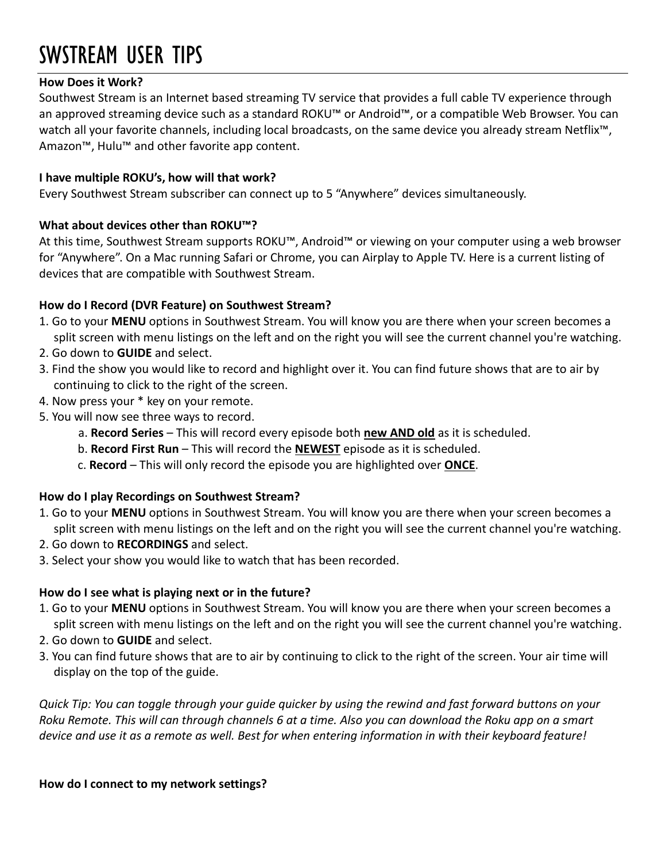# SWSTREAM USER TIPS

### **How Does it Work?**

Southwest Stream is an Internet based streaming TV service that provides a full cable TV experience through an approved streaming device such as a standard ROKU™ or Android™, or a compatible Web Browser. You can watch all your favorite channels, including local broadcasts, on the same device you already stream Netflix<sup>™</sup>, Amazon™, Hulu™ and other favorite app content.

#### **I have multiple ROKU's, how will that work?**

Every Southwest Stream subscriber can connect up to 5 "Anywhere" devices simultaneously.

# **What about devices other than ROKU™?**

At this time, Southwest Stream supports ROKU™, Android™ or viewing on your computer using a web browser for "Anywhere". On a Mac running Safari or Chrome, you can Airplay to Apple TV. Here is a current listing of devices that are compatible with Southwest Stream.

# **How do I Record (DVR Feature) on Southwest Stream?**

- 1. Go to your **MENU** options in Southwest Stream. You will know you are there when your screen becomes a split screen with menu listings on the left and on the right you will see the current channel you're watching.
- 2. Go down to **GUIDE** and select.
- 3. Find the show you would like to record and highlight over it. You can find future shows that are to air by continuing to click to the right of the screen.
- 4. Now press your \* key on your remote.
- 5. You will now see three ways to record.
	- a. **Record Series** This will record every episode both **new AND old** as it is scheduled.
	- b. **Record First Run** This will record the **NEWEST** episode as it is scheduled.
	- c. **Record** This will only record the episode you are highlighted over **ONCE**.

#### **How do I play Recordings on Southwest Stream?**

- 1. Go to your **MENU** options in Southwest Stream. You will know you are there when your screen becomes a split screen with menu listings on the left and on the right you will see the current channel you're watching.
- 2. Go down to **RECORDINGS** and select.
- 3. Select your show you would like to watch that has been recorded.

# **How do I see what is playing next or in the future?**

- 1. Go to your **MENU** options in Southwest Stream. You will know you are there when your screen becomes a split screen with menu listings on the left and on the right you will see the current channel you're watching.
- 2. Go down to **GUIDE** and select.
- 3. You can find future shows that are to air by continuing to click to the right of the screen. Your air time will display on the top of the guide.

*Quick Tip: You can toggle through your guide quicker by using the rewind and fast forward buttons on your Roku Remote. This will can through channels 6 at a time. Also you can download the Roku app on a smart device and use it as a remote as well. Best for when entering information in with their keyboard feature!*

#### **How do I connect to my network settings?**